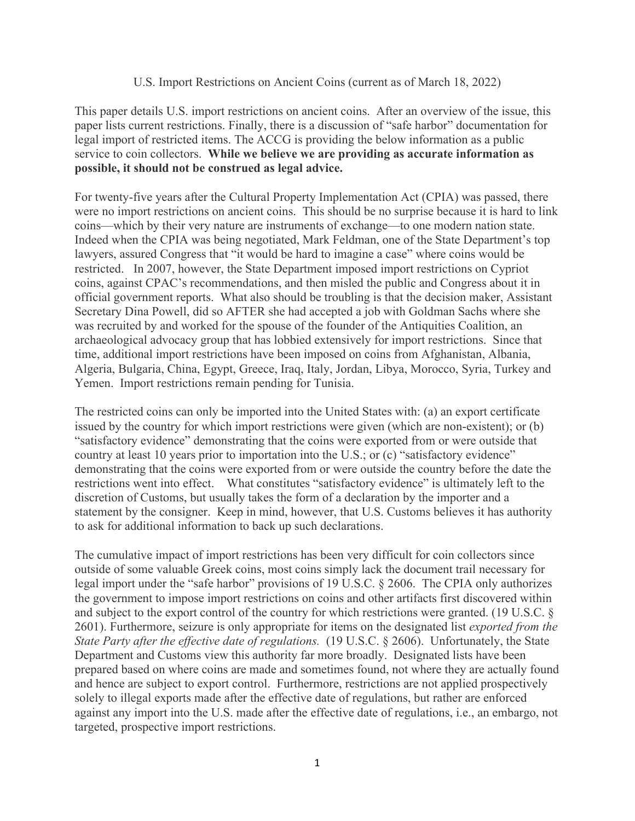### U.S. Import Restrictions on Ancient Coins (current as of March 18, 2022)

This paper details U.S. import restrictions on ancient coins. After an overview of the issue, this paper lists current restrictions. Finally, there is a discussion of "safe harbor" documentation for legal import of restricted items. The ACCG is providing the below information as a public service to coin collectors. **While we believe we are providing as accurate information as possible, it should not be construed as legal advice.** 

For twenty-five years after the Cultural Property Implementation Act (CPIA) was passed, there were no import restrictions on ancient coins. This should be no surprise because it is hard to link coins—which by their very nature are instruments of exchange—to one modern nation state. Indeed when the CPIA was being negotiated, Mark Feldman, one of the State Department's top lawyers, assured Congress that "it would be hard to imagine a case" where coins would be restricted. In 2007, however, the State Department imposed import restrictions on Cypriot coins, against CPAC's recommendations, and then misled the public and Congress about it in official government reports. What also should be troubling is that the decision maker, Assistant Secretary Dina Powell, did so AFTER she had accepted a job with Goldman Sachs where she was recruited by and worked for the spouse of the founder of the Antiquities Coalition, an archaeological advocacy group that has lobbied extensively for import restrictions. Since that time, additional import restrictions have been imposed on coins from Afghanistan, Albania, Algeria, Bulgaria, China, Egypt, Greece, Iraq, Italy, Jordan, Libya, Morocco, Syria, Turkey and Yemen. Import restrictions remain pending for Tunisia.

The restricted coins can only be imported into the United States with: (a) an export certificate issued by the country for which import restrictions were given (which are non-existent); or (b) "satisfactory evidence" demonstrating that the coins were exported from or were outside that country at least 10 years prior to importation into the U.S.; or (c) "satisfactory evidence" demonstrating that the coins were exported from or were outside the country before the date the restrictions went into effect. What constitutes "satisfactory evidence" is ultimately left to the discretion of Customs, but usually takes the form of a declaration by the importer and a statement by the consigner. Keep in mind, however, that U.S. Customs believes it has authority to ask for additional information to back up such declarations.

The cumulative impact of import restrictions has been very difficult for coin collectors since outside of some valuable Greek coins, most coins simply lack the document trail necessary for legal import under the "safe harbor" provisions of 19 U.S.C. § 2606. The CPIA only authorizes the government to impose import restrictions on coins and other artifacts first discovered within and subject to the export control of the country for which restrictions were granted. (19 U.S.C. § 2601). Furthermore, seizure is only appropriate for items on the designated list *exported from the State Party after the effective date of regulations.* (19 U.S.C. § 2606). Unfortunately, the State Department and Customs view this authority far more broadly. Designated lists have been prepared based on where coins are made and sometimes found, not where they are actually found and hence are subject to export control. Furthermore, restrictions are not applied prospectively solely to illegal exports made after the effective date of regulations, but rather are enforced against any import into the U.S. made after the effective date of regulations, i.e., an embargo, not targeted, prospective import restrictions.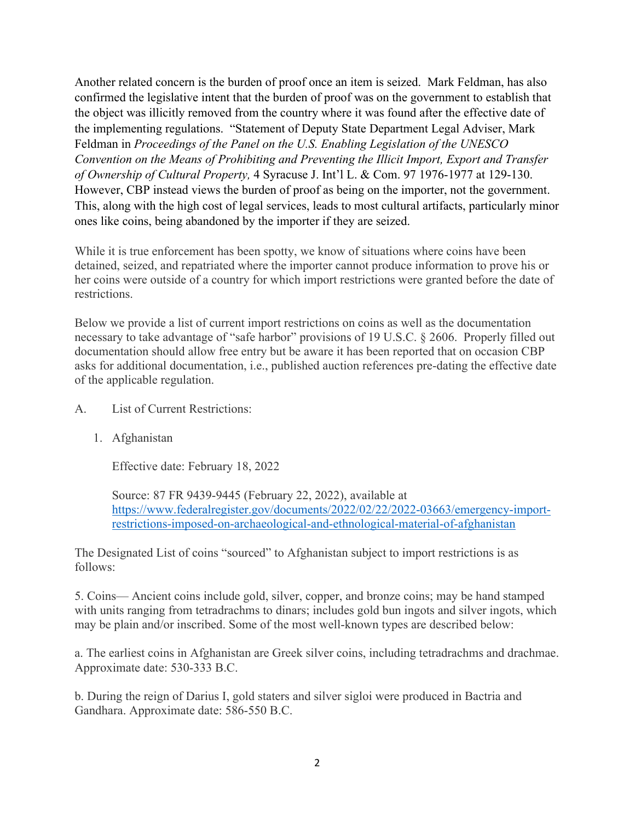Another related concern is the burden of proof once an item is seized. Mark Feldman, has also confirmed the legislative intent that the burden of proof was on the government to establish that the object was illicitly removed from the country where it was found after the effective date of the implementing regulations. "Statement of Deputy State Department Legal Adviser, Mark Feldman in *Proceedings of the Panel on the U.S. Enabling Legislation of the UNESCO Convention on the Means of Prohibiting and Preventing the Illicit Import, Export and Transfer of Ownership of Cultural Property,* 4 Syracuse J. Int'l L. & Com. 97 1976-1977 at 129-130. However, CBP instead views the burden of proof as being on the importer, not the government. This, along with the high cost of legal services, leads to most cultural artifacts, particularly minor ones like coins, being abandoned by the importer if they are seized.

While it is true enforcement has been spotty, we know of situations where coins have been detained, seized, and repatriated where the importer cannot produce information to prove his or her coins were outside of a country for which import restrictions were granted before the date of restrictions.

Below we provide a list of current import restrictions on coins as well as the documentation necessary to take advantage of "safe harbor" provisions of 19 U.S.C. § 2606. Properly filled out documentation should allow free entry but be aware it has been reported that on occasion CBP asks for additional documentation, i.e., published auction references pre-dating the effective date of the applicable regulation.

## A. List of Current Restrictions:

1. Afghanistan

Effective date: February 18, 2022

Source: 87 FR 9439-9445 (February 22, 2022), available at [https://www.federalregister.gov/documents/2022/02/22/2022-03663/emergency-import](https://www.federalregister.gov/documents/2022/02/22/2022-03663/emergency-import-%09restrictions-imposed-on-archaeological-and-ethnological-material-of-afghanistan)[restrictions-imposed-on-archaeological-and-ethnological-material-of-afghanistan](https://www.federalregister.gov/documents/2022/02/22/2022-03663/emergency-import-%09restrictions-imposed-on-archaeological-and-ethnological-material-of-afghanistan)

The Designated List of coins "sourced" to Afghanistan subject to import restrictions is as follows:

5. Coins— Ancient coins include gold, silver, copper, and bronze coins; may be hand stamped with units ranging from tetradrachms to dinars; includes gold bun ingots and silver ingots, which may be plain and/or inscribed. Some of the most well-known types are described below:

a. The earliest coins in Afghanistan are Greek silver coins, including tetradrachms and drachmae. Approximate date: 530-333 B.C.

b. During the reign of Darius I, gold staters and silver sigloi were produced in Bactria and Gandhara. Approximate date: 586-550 B.C.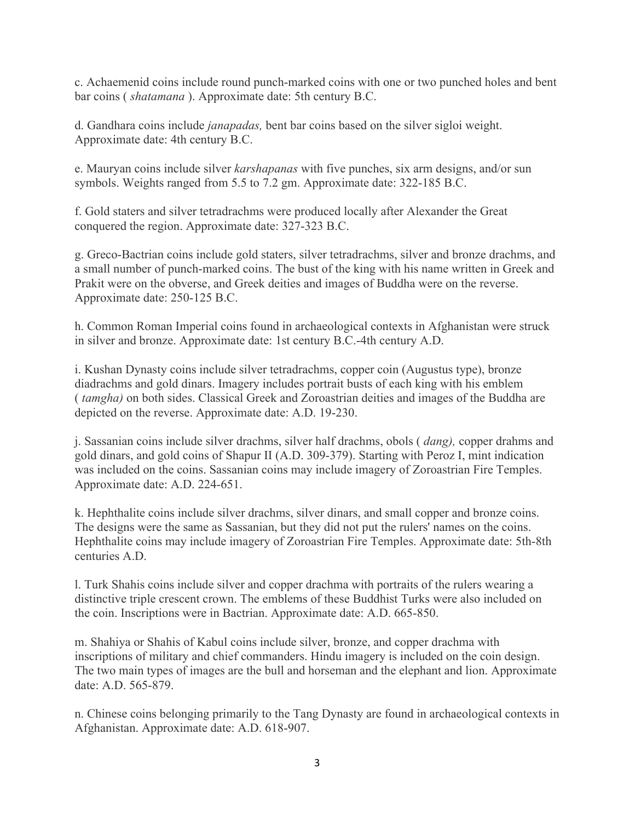c. Achaemenid coins include round punch-marked coins with one or two punched holes and bent bar coins ( *shatamana* ). Approximate date: 5th century B.C.

d. Gandhara coins include *janapadas,* bent bar coins based on the silver sigloi weight. Approximate date: 4th century B.C.

e. Mauryan coins include silver *karshapanas* with five punches, six arm designs, and/or sun symbols. Weights ranged from 5.5 to 7.2 gm. Approximate date: 322-185 B.C.

f. Gold staters and silver tetradrachms were produced locally after Alexander the Great conquered the region. Approximate date: 327-323 B.C.

g. Greco-Bactrian coins include gold staters, silver tetradrachms, silver and bronze drachms, and a small number of punch-marked coins. The bust of the king with his name written in Greek and Prakit were on the obverse, and Greek deities and images of Buddha were on the reverse. Approximate date: 250-125 B.C.

h. Common Roman Imperial coins found in archaeological contexts in Afghanistan were struck in silver and bronze. Approximate date: 1st century B.C.-4th century A.D.

i. Kushan Dynasty coins include silver tetradrachms, copper coin (Augustus type), bronze diadrachms and gold dinars. Imagery includes portrait busts of each king with his emblem ( *tamgha)* on both sides. Classical Greek and Zoroastrian deities and images of the Buddha are depicted on the reverse. Approximate date: A.D. 19-230.

j. Sassanian coins include silver drachms, silver half drachms, obols ( *dang),* copper drahms and gold dinars, and gold coins of Shapur II (A.D. 309-379). Starting with Peroz I, mint indication was included on the coins. Sassanian coins may include imagery of Zoroastrian Fire Temples. Approximate date: A.D. 224-651.

k. Hephthalite coins include silver drachms, silver dinars, and small copper and bronze coins. The designs were the same as Sassanian, but they did not put the rulers' names on the coins. Hephthalite coins may include imagery of Zoroastrian Fire Temples. Approximate date: 5th-8th centuries A.D.

l. Turk Shahis coins include silver and copper drachma with portraits of the rulers wearing a distinctive triple crescent crown. The emblems of these Buddhist Turks were also included on the coin. Inscriptions were in Bactrian. Approximate date: A.D. 665-850.

m. Shahiya or Shahis of Kabul coins include silver, bronze, and copper drachma with inscriptions of military and chief commanders. Hindu imagery is included on the coin design. The two main types of images are the bull and horseman and the elephant and lion. Approximate date: A.D. 565-879.

n. Chinese coins belonging primarily to the Tang Dynasty are found in archaeological contexts in Afghanistan. Approximate date: A.D. 618-907.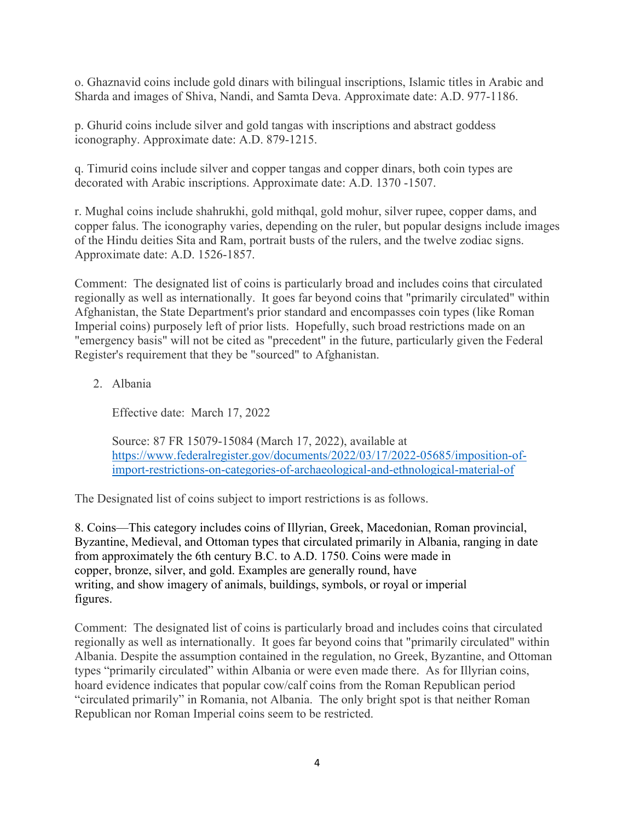o. Ghaznavid coins include gold dinars with bilingual inscriptions, Islamic titles in Arabic and Sharda and images of Shiva, Nandi, and Samta Deva. Approximate date: A.D. 977-1186.

p. Ghurid coins include silver and gold tangas with inscriptions and abstract goddess iconography. Approximate date: A.D. 879-1215.

q. Timurid coins include silver and copper tangas and copper dinars, both coin types are decorated with Arabic inscriptions. Approximate date: A.D. 1370 -1507.

r. Mughal coins include shahrukhi, gold mithqal, gold mohur, silver rupee, copper dams, and copper falus. The iconography varies, depending on the ruler, but popular designs include images of the Hindu deities Sita and Ram, portrait busts of the rulers, and the twelve zodiac signs. Approximate date: A.D. 1526-1857.

Comment: The designated list of coins is particularly broad and includes coins that circulated regionally as well as internationally. It goes far beyond coins that "primarily circulated" within Afghanistan, the State Department's prior standard and encompasses coin types (like Roman Imperial coins) purposely left of prior lists. Hopefully, such broad restrictions made on an "emergency basis" will not be cited as "precedent" in the future, particularly given the Federal Register's requirement that they be "sourced" to Afghanistan.

2. Albania

Effective date: March 17, 2022

Source: 87 FR 15079-15084 (March 17, 2022), available at [https://www.federalregister.gov/documents/2022/03/17/2022-05685/imposition-of](https://www.federalregister.gov/documents/2022/03/17/2022-05685/imposition-of-%09import-restrictions-on-categories-of-archaeological-and-ethnological-material-of)[import-restrictions-on-categories-of-archaeological-and-ethnological-material-of](https://www.federalregister.gov/documents/2022/03/17/2022-05685/imposition-of-%09import-restrictions-on-categories-of-archaeological-and-ethnological-material-of)

The Designated list of coins subject to import restrictions is as follows.

8. Coins—This category includes coins of Illyrian, Greek, Macedonian, Roman provincial, Byzantine, Medieval, and Ottoman types that circulated primarily in Albania, ranging in date from approximately the 6th century B.C. to A.D. 1750. Coins were made in copper, bronze, silver, and gold. Examples are generally round, have writing, and show imagery of animals, buildings, symbols, or royal or imperial figures.

Comment: The designated list of coins is particularly broad and includes coins that circulated regionally as well as internationally. It goes far beyond coins that "primarily circulated" within Albania. Despite the assumption contained in the regulation, no Greek, Byzantine, and Ottoman types "primarily circulated" within Albania or were even made there. As for Illyrian coins, hoard evidence indicates that popular cow/calf coins from the Roman Republican period "circulated primarily" in Romania, not Albania. The only bright spot is that neither Roman Republican nor Roman Imperial coins seem to be restricted.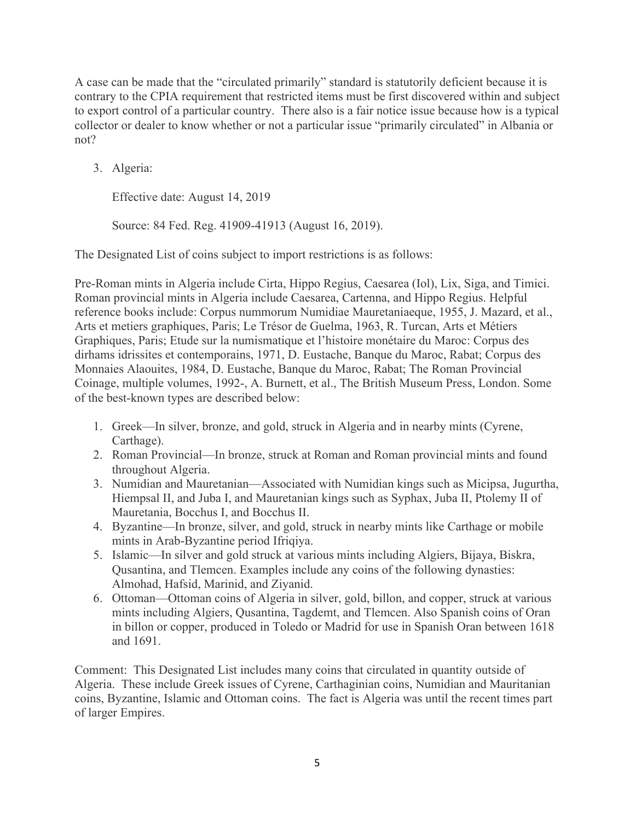A case can be made that the "circulated primarily" standard is statutorily deficient because it is contrary to the CPIA requirement that restricted items must be first discovered within and subject to export control of a particular country. There also is a fair notice issue because how is a typical collector or dealer to know whether or not a particular issue "primarily circulated" in Albania or not?

3. Algeria:

Effective date: August 14, 2019

Source: 84 Fed. Reg. 41909-41913 (August 16, 2019).

The Designated List of coins subject to import restrictions is as follows:

Pre-Roman mints in Algeria include Cirta, Hippo Regius, Caesarea (Iol), Lix, Siga, and Timici. Roman provincial mints in Algeria include Caesarea, Cartenna, and Hippo Regius. Helpful reference books include: Corpus nummorum Numidiae Mauretaniaeque, 1955, J. Mazard, et al., Arts et metiers graphiques, Paris; Le Trésor de Guelma, 1963, R. Turcan, Arts et Métiers Graphiques, Paris; Etude sur la numismatique et l'histoire monétaire du Maroc: Corpus des dirhams idrissites et contemporains, 1971, D. Eustache, Banque du Maroc, Rabat; Corpus des Monnaies Alaouites, 1984, D. Eustache, Banque du Maroc, Rabat; The Roman Provincial Coinage, multiple volumes, 1992-, A. Burnett, et al., The British Museum Press, London. Some of the best-known types are described below:

- 1. Greek—In silver, bronze, and gold, struck in Algeria and in nearby mints (Cyrene, Carthage).
- 2. Roman Provincial—In bronze, struck at Roman and Roman provincial mints and found throughout Algeria.
- 3. Numidian and Mauretanian—Associated with Numidian kings such as Micipsa, Jugurtha, Hiempsal II, and Juba I, and Mauretanian kings such as Syphax, Juba II, Ptolemy II of Mauretania, Bocchus I, and Bocchus II.
- 4. Byzantine—In bronze, silver, and gold, struck in nearby mints like Carthage or mobile mints in Arab-Byzantine period Ifriqiya.
- 5. Islamic—In silver and gold struck at various mints including Algiers, Bijaya, Biskra, Qusantina, and Tlemcen. Examples include any coins of the following dynasties: Almohad, Hafsid, Marinid, and Ziyanid.
- 6. Ottoman—Ottoman coins of Algeria in silver, gold, billon, and copper, struck at various mints including Algiers, Qusantina, Tagdemt, and Tlemcen. Also Spanish coins of Oran in billon or copper, produced in Toledo or Madrid for use in Spanish Oran between 1618 and 1691.

Comment: This Designated List includes many coins that circulated in quantity outside of Algeria. These include Greek issues of Cyrene, Carthaginian coins, Numidian and Mauritanian coins, Byzantine, Islamic and Ottoman coins. The fact is Algeria was until the recent times part of larger Empires.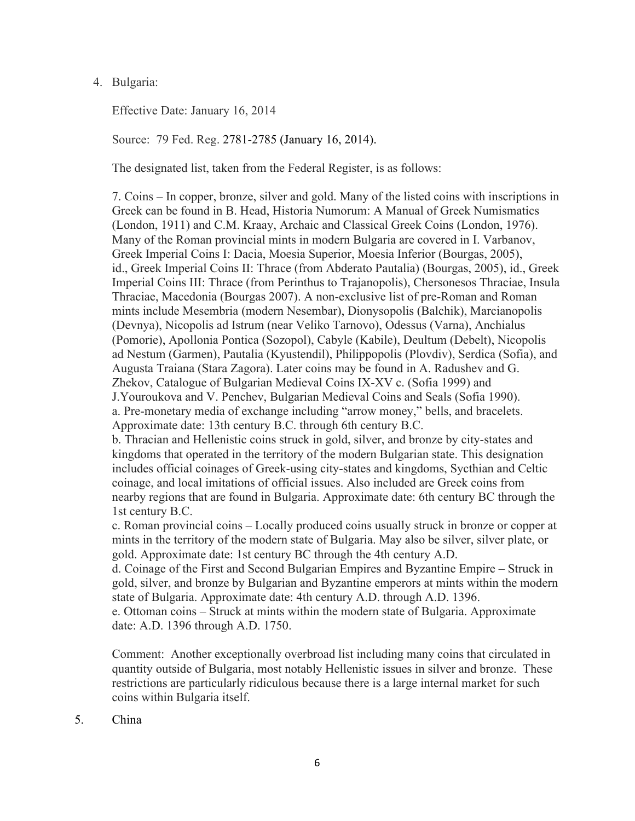### 4. Bulgaria:

Effective Date: January 16, 2014

Source: 79 Fed. Reg. 2781-2785 (January 16, 2014).

The designated list, taken from the Federal Register, is as follows:

7. Coins – In copper, bronze, silver and gold. Many of the listed coins with inscriptions in Greek can be found in B. Head, Historia Numorum: A Manual of Greek Numismatics (London, 1911) and C.M. Kraay, Archaic and Classical Greek Coins (London, 1976). Many of the Roman provincial mints in modern Bulgaria are covered in I. Varbanov, Greek Imperial Coins I: Dacia, Moesia Superior, Moesia Inferior (Bourgas, 2005), id., Greek Imperial Coins II: Thrace (from Abderato Pautalia) (Bourgas, 2005), id., Greek Imperial Coins III: Thrace (from Perinthus to Trajanopolis), Chersonesos Thraciae, Insula Thraciae, Macedonia (Bourgas 2007). A non-exclusive list of pre-Roman and Roman mints include Mesembria (modern Nesembar), Dionysopolis (Balchik), Marcianopolis (Devnya), Nicopolis ad Istrum (near Veliko Tarnovo), Odessus (Varna), Anchialus (Pomorie), Apollonia Pontica (Sozopol), Cabyle (Kabile), Deultum (Debelt), Nicopolis ad Nestum (Garmen), Pautalia (Kyustendil), Philippopolis (Plovdiv), Serdica (Sofia), and Augusta Traiana (Stara Zagora). Later coins may be found in A. Radushev and G. Zhekov, Catalogue of Bulgarian Medieval Coins IX-XV c. (Sofia 1999) and J.Youroukova and V. Penchev, Bulgarian Medieval Coins and Seals (Sofia 1990). a. Pre-monetary media of exchange including "arrow money," bells, and bracelets. Approximate date: 13th century B.C. through 6th century B.C.

b. Thracian and Hellenistic coins struck in gold, silver, and bronze by city-states and kingdoms that operated in the territory of the modern Bulgarian state. This designation includes official coinages of Greek-using city-states and kingdoms, Sycthian and Celtic coinage, and local imitations of official issues. Also included are Greek coins from nearby regions that are found in Bulgaria. Approximate date: 6th century BC through the 1st century B.C.

c. Roman provincial coins – Locally produced coins usually struck in bronze or copper at mints in the territory of the modern state of Bulgaria. May also be silver, silver plate, or gold. Approximate date: 1st century BC through the 4th century A.D.

d. Coinage of the First and Second Bulgarian Empires and Byzantine Empire – Struck in gold, silver, and bronze by Bulgarian and Byzantine emperors at mints within the modern state of Bulgaria. Approximate date: 4th century A.D. through A.D. 1396.

e. Ottoman coins – Struck at mints within the modern state of Bulgaria. Approximate date: A.D. 1396 through A.D. 1750.

Comment: Another exceptionally overbroad list including many coins that circulated in quantity outside of Bulgaria, most notably Hellenistic issues in silver and bronze. These restrictions are particularly ridiculous because there is a large internal market for such coins within Bulgaria itself.

5. China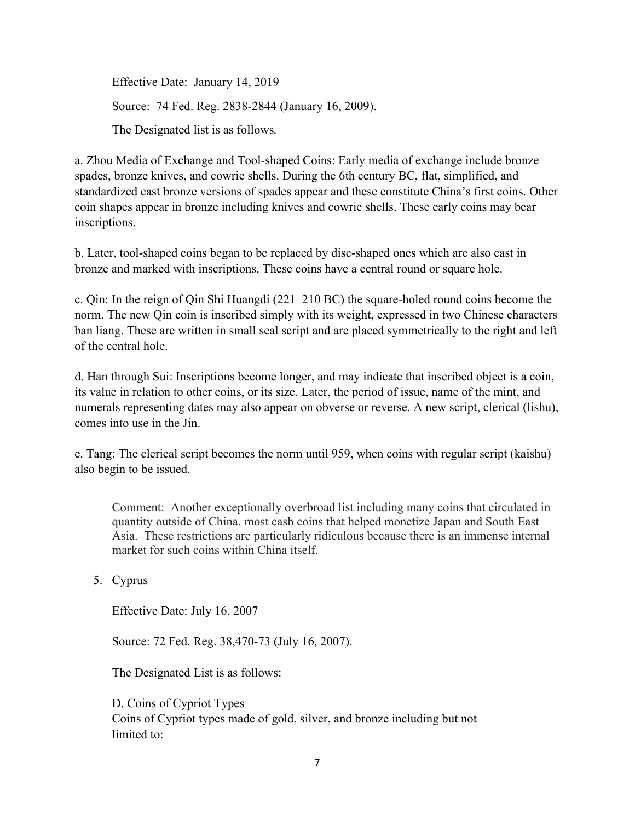Effective Date: January 14, 2019 Source: 74 Fed. Reg. 2838-2844 (January 16, 2009). The Designated list is as follows*.*

a. Zhou Media of Exchange and Tool-shaped Coins: Early media of exchange include bronze spades, bronze knives, and cowrie shells. During the 6th century BC, flat, simplified, and standardized cast bronze versions of spades appear and these constitute China's first coins. Other coin shapes appear in bronze including knives and cowrie shells. These early coins may bear inscriptions.

b. Later, tool-shaped coins began to be replaced by disc-shaped ones which are also cast in bronze and marked with inscriptions. These coins have a central round or square hole.

c. Qin: In the reign of Qin Shi Huangdi (221–210 BC) the square-holed round coins become the norm. The new Qin coin is inscribed simply with its weight, expressed in two Chinese characters ban liang. These are written in small seal script and are placed symmetrically to the right and left of the central hole.

d. Han through Sui: Inscriptions become longer, and may indicate that inscribed object is a coin, its value in relation to other coins, or its size. Later, the period of issue, name of the mint, and numerals representing dates may also appear on obverse or reverse. A new script, clerical (lishu), comes into use in the Jin.

e. Tang: The clerical script becomes the norm until 959, when coins with regular script (kaishu) also begin to be issued.

Comment: Another exceptionally overbroad list including many coins that circulated in quantity outside of China, most cash coins that helped monetize Japan and South East Asia. These restrictions are particularly ridiculous because there is an immense internal market for such coins within China itself.

5. Cyprus

Effective Date: July 16, 2007

Source: 72 Fed. Reg. 38,470-73 (July 16, 2007).

The Designated List is as follows:

D. Coins of Cypriot Types Coins of Cypriot types made of gold, silver, and bronze including but not limited to: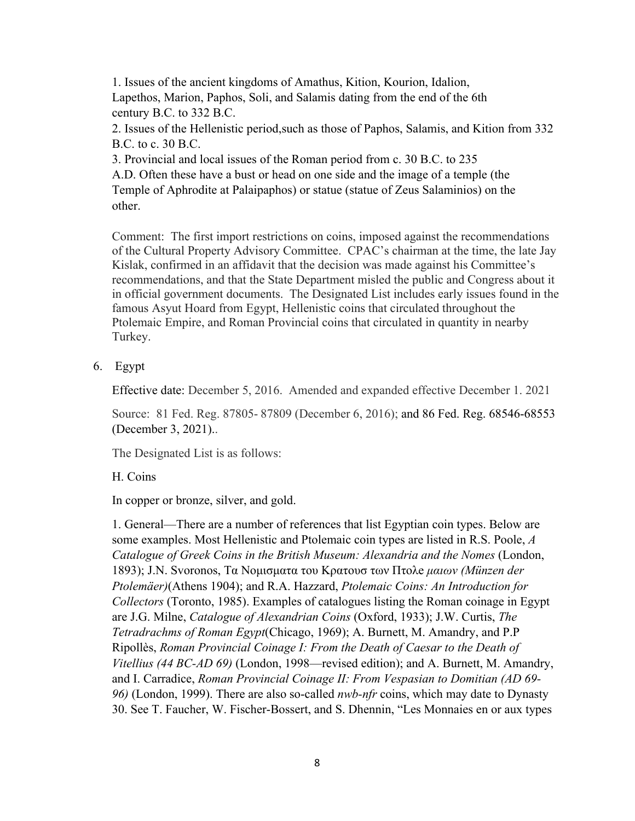1. Issues of the ancient kingdoms of Amathus, Kition, Kourion, Idalion, Lapethos, Marion, Paphos, Soli, and Salamis dating from the end of the 6th century B.C. to 332 B.C.

2. Issues of the Hellenistic period,such as those of Paphos, Salamis, and Kition from 332 B.C. to c. 30 B.C.

3. Provincial and local issues of the Roman period from c. 30 B.C. to 235 A.D. Often these have a bust or head on one side and the image of a temple (the Temple of Aphrodite at Palaipaphos) or statue (statue of Zeus Salaminios) on the other.

Comment: The first import restrictions on coins, imposed against the recommendations of the Cultural Property Advisory Committee. CPAC's chairman at the time, the late Jay Kislak, confirmed in an affidavit that the decision was made against his Committee's recommendations, and that the State Department misled the public and Congress about it in official government documents. The Designated List includes early issues found in the famous Asyut Hoard from Egypt, Hellenistic coins that circulated throughout the Ptolemaic Empire, and Roman Provincial coins that circulated in quantity in nearby Turkey.

6. Egypt

Effective date: December 5, 2016. Amended and expanded effective December 1. 2021

Source: 81 Fed. Reg. 87805- 87809 (December 6, 2016); and 86 Fed. Reg. 68546-68553 (December 3, 2021)..

The Designated List is as follows:

## H. Coins

In copper or bronze, silver, and gold.

1. General—There are a number of references that list Egyptian coin types. Below are some examples. Most Hellenistic and Ptolemaic coin types are listed in R.S. Poole, *A Catalogue of Greek Coins in the British Museum: Alexandria and the Nomes* (London, 1893); J.N. Svoronos, Τα Nομισματα του Κρατουσ των Πτολe *μαιων (Münzen der Ptolemäer)*(Athens 1904); and R.A. Hazzard, *Ptolemaic Coins: An Introduction for Collectors* (Toronto, 1985). Examples of catalogues listing the Roman coinage in Egypt are J.G. Milne, *Catalogue of Alexandrian Coins* (Oxford, 1933); J.W. Curtis, *The Tetradrachms of Roman Egypt*(Chicago, 1969); A. Burnett, M. Amandry, and P.P Ripollès, *Roman Provincial Coinage I: From the Death of Caesar to the Death of Vitellius (44 BC-AD 69)* (London, 1998—revised edition); and A. Burnett, M. Amandry, and I. Carradice, *Roman Provincial Coinage II: From Vespasian to Domitian (AD 69- 96)* (London, 1999). There are also so-called *nwb-nfr* coins, which may date to Dynasty 30. See T. Faucher, W. Fischer-Bossert, and S. Dhennin, "Les Monnaies en or aux types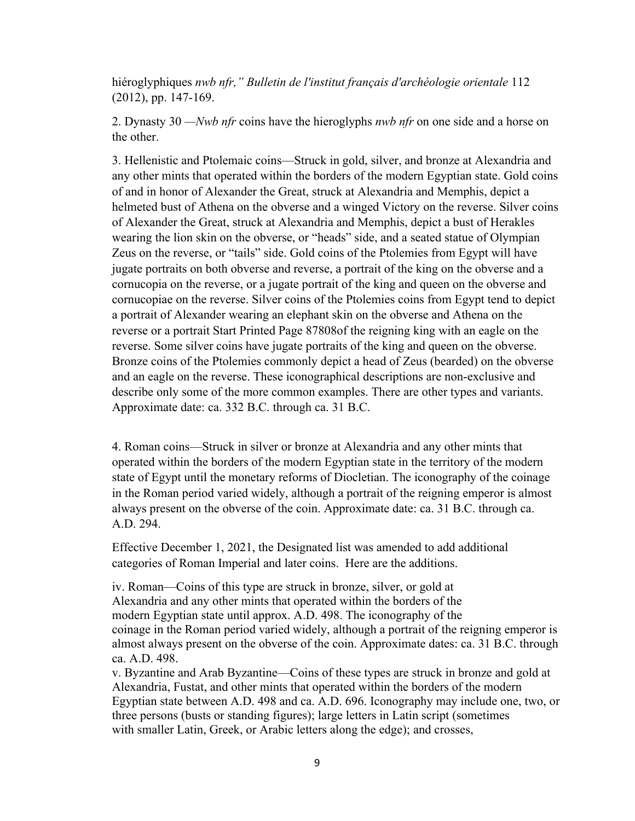hiéroglyphiques *nwb nfr," Bulletin de l'institut français d'archéologie orientale* 112 (2012), pp. 147-169.

2. Dynasty 30 *—Nwb nfr* coins have the hieroglyphs *nwb nfr* on one side and a horse on the other.

3. Hellenistic and Ptolemaic coins—Struck in gold, silver, and bronze at Alexandria and any other mints that operated within the borders of the modern Egyptian state. Gold coins of and in honor of Alexander the Great, struck at Alexandria and Memphis, depict a helmeted bust of Athena on the obverse and a winged Victory on the reverse. Silver coins of Alexander the Great, struck at Alexandria and Memphis, depict a bust of Herakles wearing the lion skin on the obverse, or "heads" side, and a seated statue of Olympian Zeus on the reverse, or "tails" side. Gold coins of the Ptolemies from Egypt will have jugate portraits on both obverse and reverse, a portrait of the king on the obverse and a cornucopia on the reverse, or a jugate portrait of the king and queen on the obverse and cornucopiae on the reverse. Silver coins of the Ptolemies coins from Egypt tend to depict a portrait of Alexander wearing an elephant skin on the obverse and Athena on the reverse or a portrait Start Printed Page 87808of the reigning king with an eagle on the reverse. Some silver coins have jugate portraits of the king and queen on the obverse. Bronze coins of the Ptolemies commonly depict a head of Zeus (bearded) on the obverse and an eagle on the reverse. These iconographical descriptions are non-exclusive and describe only some of the more common examples. There are other types and variants. Approximate date: ca. 332 B.C. through ca. 31 B.C.

4. Roman coins—Struck in silver or bronze at Alexandria and any other mints that operated within the borders of the modern Egyptian state in the territory of the modern state of Egypt until the monetary reforms of Diocletian. The iconography of the coinage in the Roman period varied widely, although a portrait of the reigning emperor is almost always present on the obverse of the coin. Approximate date: ca. 31 B.C. through ca. A.D. 294.

Effective December 1, 2021, the Designated list was amended to add additional categories of Roman Imperial and later coins. Here are the additions.

iv. Roman—Coins of this type are struck in bronze, silver, or gold at Alexandria and any other mints that operated within the borders of the modern Egyptian state until approx. A.D. 498. The iconography of the coinage in the Roman period varied widely, although a portrait of the reigning emperor is almost always present on the obverse of the coin. Approximate dates: ca. 31 B.C. through ca. A.D. 498.

v. Byzantine and Arab Byzantine—Coins of these types are struck in bronze and gold at Alexandria, Fustat, and other mints that operated within the borders of the modern Egyptian state between A.D. 498 and ca. A.D. 696. Iconography may include one, two, or three persons (busts or standing figures); large letters in Latin script (sometimes with smaller Latin, Greek, or Arabic letters along the edge); and crosses,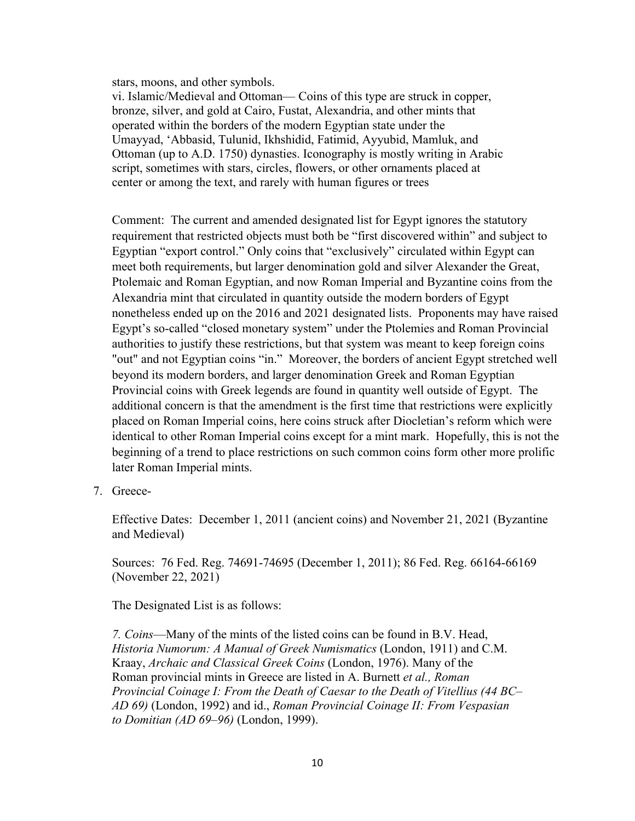stars, moons, and other symbols.

vi. Islamic/Medieval and Ottoman— Coins of this type are struck in copper, bronze, silver, and gold at Cairo, Fustat, Alexandria, and other mints that operated within the borders of the modern Egyptian state under the Umayyad, 'Abbasid, Tulunid, Ikhshidid, Fatimid, Ayyubid, Mamluk, and Ottoman (up to A.D. 1750) dynasties. Iconography is mostly writing in Arabic script, sometimes with stars, circles, flowers, or other ornaments placed at center or among the text, and rarely with human figures or trees

Comment: The current and amended designated list for Egypt ignores the statutory requirement that restricted objects must both be "first discovered within" and subject to Egyptian "export control." Only coins that "exclusively" circulated within Egypt can meet both requirements, but larger denomination gold and silver Alexander the Great, Ptolemaic and Roman Egyptian, and now Roman Imperial and Byzantine coins from the Alexandria mint that circulated in quantity outside the modern borders of Egypt nonetheless ended up on the 2016 and 2021 designated lists. Proponents may have raised Egypt's so-called "closed monetary system" under the Ptolemies and Roman Provincial authorities to justify these restrictions, but that system was meant to keep foreign coins "out" and not Egyptian coins "in." Moreover, the borders of ancient Egypt stretched well beyond its modern borders, and larger denomination Greek and Roman Egyptian Provincial coins with Greek legends are found in quantity well outside of Egypt. The additional concern is that the amendment is the first time that restrictions were explicitly placed on Roman Imperial coins, here coins struck after Diocletian's reform which were identical to other Roman Imperial coins except for a mint mark. Hopefully, this is not the beginning of a trend to place restrictions on such common coins form other more prolific later Roman Imperial mints.

7. Greece-

Effective Dates: December 1, 2011 (ancient coins) and November 21, 2021 (Byzantine and Medieval)

Sources: 76 Fed. Reg. 74691-74695 (December 1, 2011); 86 Fed. Reg. 66164-66169 (November 22, 2021)

The Designated List is as follows:

*7. Coins*—Many of the mints of the listed coins can be found in B.V. Head, *Historia Numorum: A Manual of Greek Numismatics* (London, 1911) and C.M. Kraay, *Archaic and Classical Greek Coins* (London, 1976). Many of the Roman provincial mints in Greece are listed in A. Burnett *et al., Roman Provincial Coinage I: From the Death of Caesar to the Death of Vitellius (44 BC– AD 69)* (London, 1992) and id., *Roman Provincial Coinage II: From Vespasian to Domitian (AD 69–96)* (London, 1999).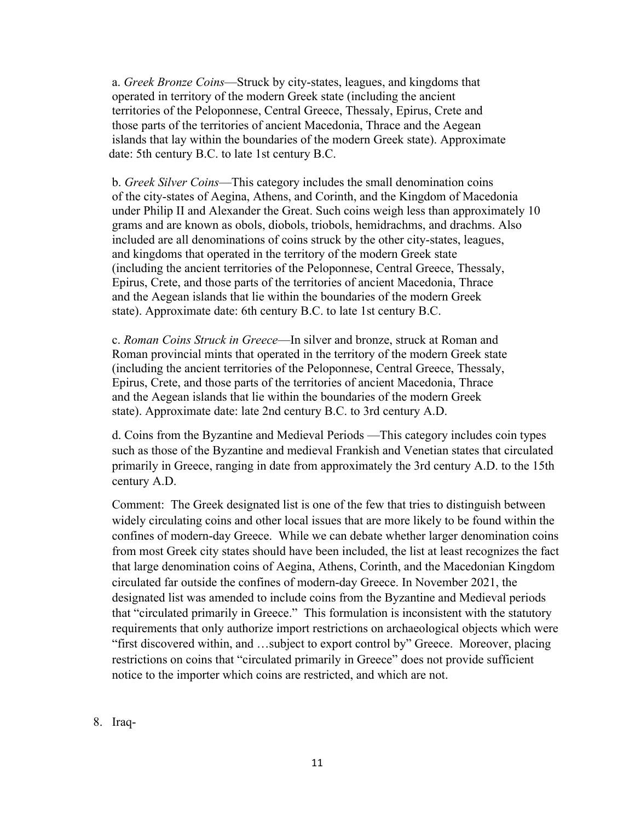a. *Greek Bronze Coins*—Struck by city-states, leagues, and kingdoms that operated in territory of the modern Greek state (including the ancient territories of the Peloponnese, Central Greece, Thessaly, Epirus, Crete and those parts of the territories of ancient Macedonia, Thrace and the Aegean islands that lay within the boundaries of the modern Greek state). Approximate date: 5th century B.C. to late 1st century B.C.

b. *Greek Silver Coins*—This category includes the small denomination coins of the city-states of Aegina, Athens, and Corinth, and the Kingdom of Macedonia under Philip II and Alexander the Great. Such coins weigh less than approximately 10 grams and are known as obols, diobols, triobols, hemidrachms, and drachms. Also included are all denominations of coins struck by the other city-states, leagues, and kingdoms that operated in the territory of the modern Greek state (including the ancient territories of the Peloponnese, Central Greece, Thessaly, Epirus, Crete, and those parts of the territories of ancient Macedonia, Thrace and the Aegean islands that lie within the boundaries of the modern Greek state). Approximate date: 6th century B.C. to late 1st century B.C.

c. *Roman Coins Struck in Greece*—In silver and bronze, struck at Roman and Roman provincial mints that operated in the territory of the modern Greek state (including the ancient territories of the Peloponnese, Central Greece, Thessaly, Epirus, Crete, and those parts of the territories of ancient Macedonia, Thrace and the Aegean islands that lie within the boundaries of the modern Greek state). Approximate date: late 2nd century B.C. to 3rd century A.D.

d. Coins from the Byzantine and Medieval Periods —This category includes coin types such as those of the Byzantine and medieval Frankish and Venetian states that circulated primarily in Greece, ranging in date from approximately the 3rd century A.D. to the 15th century A.D.

Comment: The Greek designated list is one of the few that tries to distinguish between widely circulating coins and other local issues that are more likely to be found within the confines of modern-day Greece. While we can debate whether larger denomination coins from most Greek city states should have been included, the list at least recognizes the fact that large denomination coins of Aegina, Athens, Corinth, and the Macedonian Kingdom circulated far outside the confines of modern-day Greece. In November 2021, the designated list was amended to include coins from the Byzantine and Medieval periods that "circulated primarily in Greece." This formulation is inconsistent with the statutory requirements that only authorize import restrictions on archaeological objects which were "first discovered within, and …subject to export control by" Greece. Moreover, placing restrictions on coins that "circulated primarily in Greece" does not provide sufficient notice to the importer which coins are restricted, and which are not.

8. Iraq-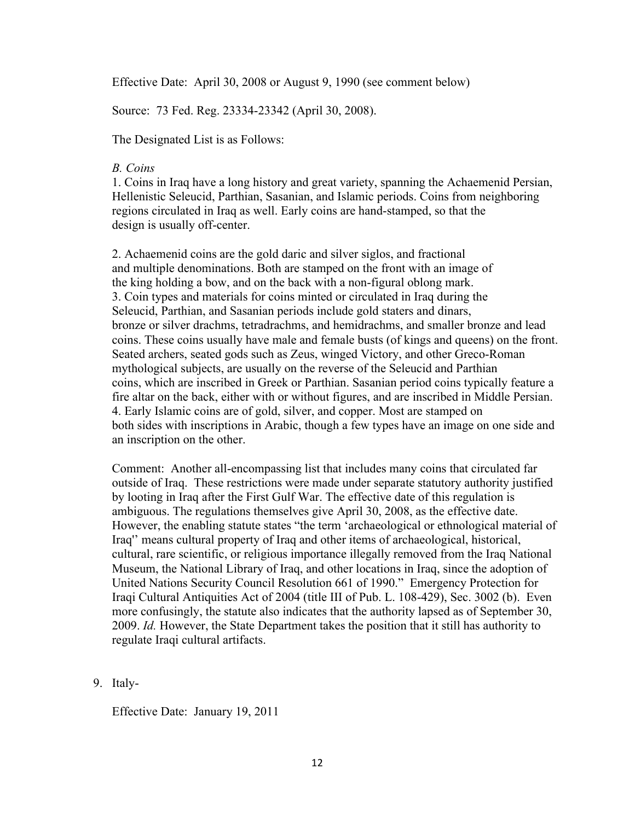Effective Date: April 30, 2008 or August 9, 1990 (see comment below)

Source: 73 Fed. Reg. 23334-23342 (April 30, 2008).

The Designated List is as Follows:

### *B. Coins*

1. Coins in Iraq have a long history and great variety, spanning the Achaemenid Persian, Hellenistic Seleucid, Parthian, Sasanian, and Islamic periods. Coins from neighboring regions circulated in Iraq as well. Early coins are hand-stamped, so that the design is usually off-center.

2. Achaemenid coins are the gold daric and silver siglos, and fractional and multiple denominations. Both are stamped on the front with an image of the king holding a bow, and on the back with a non-figural oblong mark. 3. Coin types and materials for coins minted or circulated in Iraq during the Seleucid, Parthian, and Sasanian periods include gold staters and dinars, bronze or silver drachms, tetradrachms, and hemidrachms, and smaller bronze and lead coins. These coins usually have male and female busts (of kings and queens) on the front. Seated archers, seated gods such as Zeus, winged Victory, and other Greco-Roman mythological subjects, are usually on the reverse of the Seleucid and Parthian coins, which are inscribed in Greek or Parthian. Sasanian period coins typically feature a fire altar on the back, either with or without figures, and are inscribed in Middle Persian. 4. Early Islamic coins are of gold, silver, and copper. Most are stamped on both sides with inscriptions in Arabic, though a few types have an image on one side and an inscription on the other.

Comment: Another all-encompassing list that includes many coins that circulated far outside of Iraq. These restrictions were made under separate statutory authority justified by looting in Iraq after the First Gulf War. The effective date of this regulation is ambiguous. The regulations themselves give April 30, 2008, as the effective date. However, the enabling statute states "the term 'archaeological or ethnological material of Iraq'' means cultural property of Iraq and other items of archaeological, historical, cultural, rare scientific, or religious importance illegally removed from the Iraq National Museum, the National Library of Iraq, and other locations in Iraq, since the adoption of United Nations Security Council Resolution 661 of 1990." Emergency Protection for Iraqi Cultural Antiquities Act of 2004 (title III of Pub. L. 108-429), Sec. 3002 (b). Even more confusingly, the statute also indicates that the authority lapsed as of September 30, 2009. *Id.* However, the State Department takes the position that it still has authority to regulate Iraqi cultural artifacts.

#### 9. Italy-

Effective Date: January 19, 2011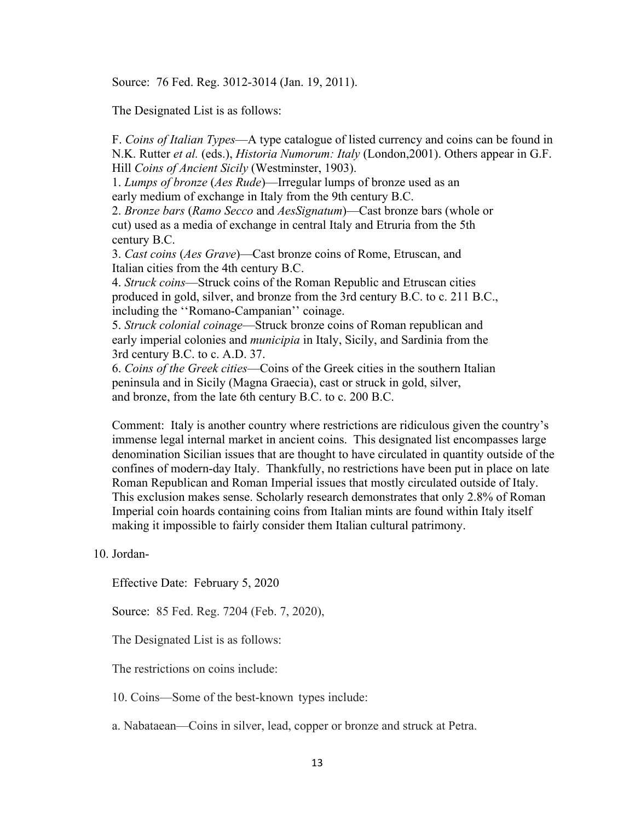Source: 76 Fed. Reg. 3012-3014 (Jan. 19, 2011).

The Designated List is as follows:

F. *Coins of Italian Types*—A type catalogue of listed currency and coins can be found in N.K. Rutter *et al.* (eds.), *Historia Numorum: Italy* (London,2001). Others appear in G.F. Hill *Coins of Ancient Sicily* (Westminster, 1903).

1. *Lumps of bronze* (*Aes Rude*)—Irregular lumps of bronze used as an early medium of exchange in Italy from the 9th century B.C.

2. *Bronze bars* (*Ramo Secco* and *AesSignatum*)—Cast bronze bars (whole or cut) used as a media of exchange in central Italy and Etruria from the 5th century B.C.

3. *Cast coins* (*Aes Grave*)—Cast bronze coins of Rome, Etruscan, and Italian cities from the 4th century B.C.

4. *Struck coins*—Struck coins of the Roman Republic and Etruscan cities produced in gold, silver, and bronze from the 3rd century B.C. to c. 211 B.C., including the ''Romano-Campanian'' coinage.

5. *Struck colonial coinage*—Struck bronze coins of Roman republican and early imperial colonies and *municipia* in Italy, Sicily, and Sardinia from the 3rd century B.C. to c. A.D. 37.

6. *Coins of the Greek cities*—Coins of the Greek cities in the southern Italian peninsula and in Sicily (Magna Graecia), cast or struck in gold, silver, and bronze, from the late 6th century B.C. to c. 200 B.C.

Comment: Italy is another country where restrictions are ridiculous given the country's immense legal internal market in ancient coins. This designated list encompasses large denomination Sicilian issues that are thought to have circulated in quantity outside of the confines of modern-day Italy. Thankfully, no restrictions have been put in place on late Roman Republican and Roman Imperial issues that mostly circulated outside of Italy. This exclusion makes sense. Scholarly research demonstrates that only 2.8% of Roman Imperial coin hoards containing coins from Italian mints are found within Italy itself making it impossible to fairly consider them Italian cultural patrimony.

## 10. Jordan-

Effective Date: February 5, 2020

Source: 85 Fed. Reg. 7204 (Feb. 7, 2020),

The Designated List is as follows:

The restrictions on coins include:

10. Coins—Some of the best-known types include:

a. Nabataean—Coins in silver, lead, copper or bronze and struck at Petra.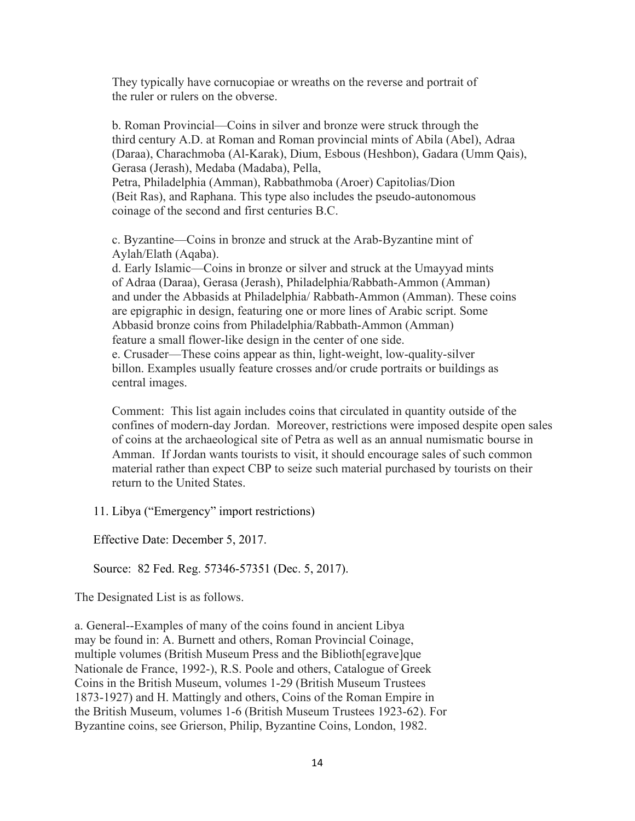They typically have cornucopiae or wreaths on the reverse and portrait of the ruler or rulers on the obverse.

b. Roman Provincial—Coins in silver and bronze were struck through the third century A.D. at Roman and Roman provincial mints of Abila (Abel), Adraa (Daraa), Charachmoba (Al-Karak), Dium, Esbous (Heshbon), Gadara (Umm Qais), Gerasa (Jerash), Medaba (Madaba), Pella, Petra, Philadelphia (Amman), Rabbathmoba (Aroer) Capitolias/Dion (Beit Ras), and Raphana. This type also includes the pseudo-autonomous coinage of the second and first centuries B.C.

c. Byzantine—Coins in bronze and struck at the Arab-Byzantine mint of Aylah/Elath (Aqaba).

d. Early Islamic—Coins in bronze or silver and struck at the Umayyad mints of Adraa (Daraa), Gerasa (Jerash), Philadelphia/Rabbath-Ammon (Amman) and under the Abbasids at Philadelphia/ Rabbath-Ammon (Amman). These coins are epigraphic in design, featuring one or more lines of Arabic script. Some Abbasid bronze coins from Philadelphia/Rabbath-Ammon (Amman) feature a small flower-like design in the center of one side. e. Crusader—These coins appear as thin, light-weight, low-quality-silver billon. Examples usually feature crosses and/or crude portraits or buildings as central images.

Comment: This list again includes coins that circulated in quantity outside of the confines of modern-day Jordan. Moreover, restrictions were imposed despite open sales of coins at the archaeological site of Petra as well as an annual numismatic bourse in Amman. If Jordan wants tourists to visit, it should encourage sales of such common material rather than expect CBP to seize such material purchased by tourists on their return to the United States.

11. Libya ("Emergency" import restrictions)

Effective Date: December 5, 2017.

Source: 82 Fed. Reg. 57346-57351 (Dec. 5, 2017).

The Designated List is as follows.

a. General--Examples of many of the coins found in ancient Libya may be found in: A. Burnett and others, Roman Provincial Coinage, multiple volumes (British Museum Press and the Biblioth[egrave]que Nationale de France, 1992-), R.S. Poole and others, Catalogue of Greek Coins in the British Museum, volumes 1-29 (British Museum Trustees 1873-1927) and H. Mattingly and others, Coins of the Roman Empire in the British Museum, volumes 1-6 (British Museum Trustees 1923-62). For Byzantine coins, see Grierson, Philip, Byzantine Coins, London, 1982.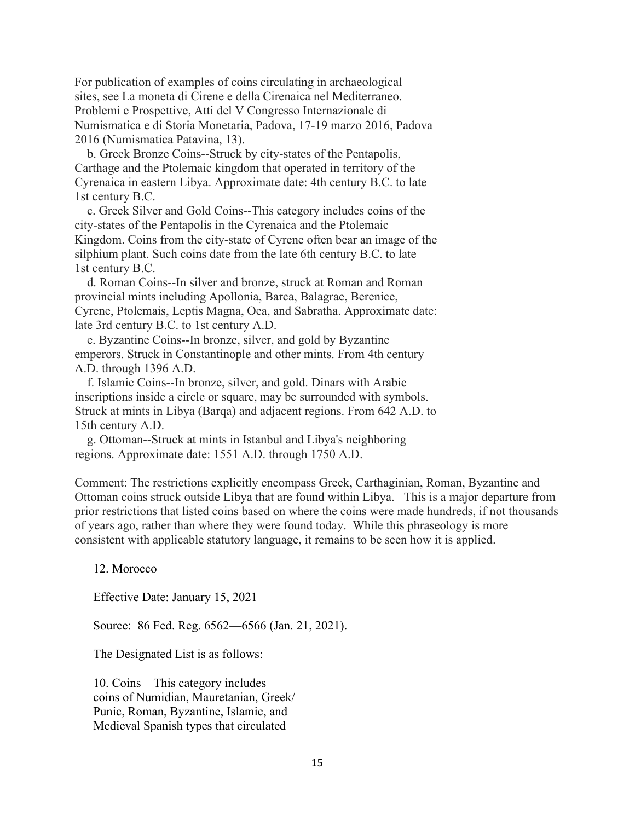For publication of examples of coins circulating in archaeological sites, see La moneta di Cirene e della Cirenaica nel Mediterraneo. Problemi e Prospettive, Atti del V Congresso Internazionale di Numismatica e di Storia Monetaria, Padova, 17-19 marzo 2016, Padova 2016 (Numismatica Patavina, 13).

 b. Greek Bronze Coins--Struck by city-states of the Pentapolis, Carthage and the Ptolemaic kingdom that operated in territory of the Cyrenaica in eastern Libya. Approximate date: 4th century B.C. to late 1st century B.C.

 c. Greek Silver and Gold Coins--This category includes coins of the city-states of the Pentapolis in the Cyrenaica and the Ptolemaic Kingdom. Coins from the city-state of Cyrene often bear an image of the silphium plant. Such coins date from the late 6th century B.C. to late 1st century B.C.

 d. Roman Coins--In silver and bronze, struck at Roman and Roman provincial mints including Apollonia, Barca, Balagrae, Berenice, Cyrene, Ptolemais, Leptis Magna, Oea, and Sabratha. Approximate date: late 3rd century B.C. to 1st century A.D.

 e. Byzantine Coins--In bronze, silver, and gold by Byzantine emperors. Struck in Constantinople and other mints. From 4th century A.D. through 1396 A.D.

 f. Islamic Coins--In bronze, silver, and gold. Dinars with Arabic inscriptions inside a circle or square, may be surrounded with symbols. Struck at mints in Libya (Barqa) and adjacent regions. From 642 A.D. to 15th century A.D.

 g. Ottoman--Struck at mints in Istanbul and Libya's neighboring regions. Approximate date: 1551 A.D. through 1750 A.D.

Comment: The restrictions explicitly encompass Greek, Carthaginian, Roman, Byzantine and Ottoman coins struck outside Libya that are found within Libya. This is a major departure from prior restrictions that listed coins based on where the coins were made hundreds, if not thousands of years ago, rather than where they were found today. While this phraseology is more consistent with applicable statutory language, it remains to be seen how it is applied.

12. Morocco

Effective Date: January 15, 2021

Source: 86 Fed. Reg. 6562—6566 (Jan. 21, 2021).

The Designated List is as follows:

10. Coins—This category includes coins of Numidian, Mauretanian, Greek/ Punic, Roman, Byzantine, Islamic, and Medieval Spanish types that circulated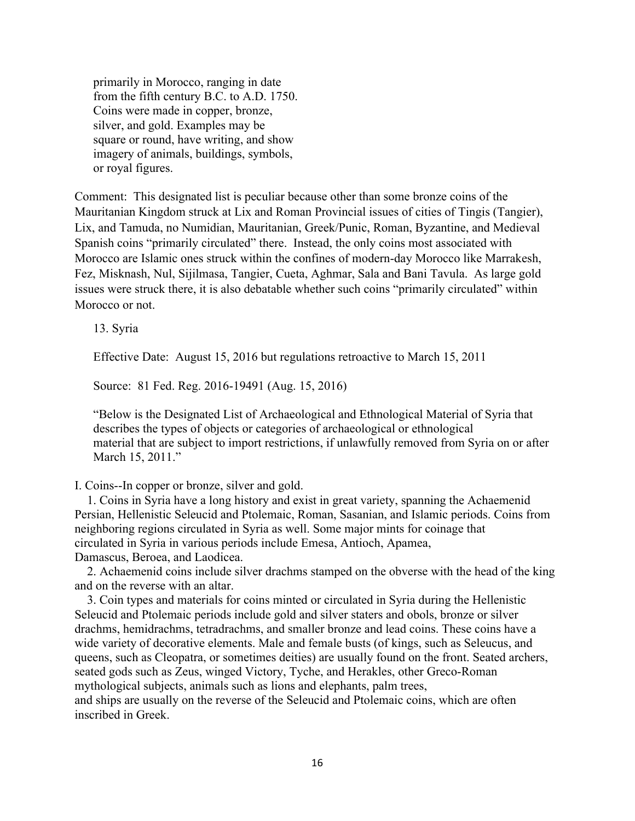primarily in Morocco, ranging in date from the fifth century B.C. to A.D. 1750. Coins were made in copper, bronze, silver, and gold. Examples may be square or round, have writing, and show imagery of animals, buildings, symbols, or royal figures.

Comment: This designated list is peculiar because other than some bronze coins of the Mauritanian Kingdom struck at Lix and Roman Provincial issues of cities of Tingis (Tangier), Lix, and Tamuda, no Numidian, Mauritanian, Greek/Punic, Roman, Byzantine, and Medieval Spanish coins "primarily circulated" there. Instead, the only coins most associated with Morocco are Islamic ones struck within the confines of modern-day Morocco like Marrakesh, Fez, Misknash, Nul, Sijilmasa, Tangier, Cueta, Aghmar, Sala and Bani Tavula. As large gold issues were struck there, it is also debatable whether such coins "primarily circulated" within Morocco or not.

13. Syria

Effective Date: August 15, 2016 but regulations retroactive to March 15, 2011

Source: 81 Fed. Reg. 2016-19491 (Aug. 15, 2016)

"Below is the Designated List of Archaeological and Ethnological Material of Syria that describes the types of objects or categories of archaeological or ethnological material that are subject to import restrictions, if unlawfully removed from Syria on or after March 15, 2011."

I. Coins--In copper or bronze, silver and gold.

 1. Coins in Syria have a long history and exist in great variety, spanning the Achaemenid Persian, Hellenistic Seleucid and Ptolemaic, Roman, Sasanian, and Islamic periods. Coins from neighboring regions circulated in Syria as well. Some major mints for coinage that circulated in Syria in various periods include Emesa, Antioch, Apamea, Damascus, Beroea, and Laodicea.

 2. Achaemenid coins include silver drachms stamped on the obverse with the head of the king and on the reverse with an altar.

 3. Coin types and materials for coins minted or circulated in Syria during the Hellenistic Seleucid and Ptolemaic periods include gold and silver staters and obols, bronze or silver drachms, hemidrachms, tetradrachms, and smaller bronze and lead coins. These coins have a wide variety of decorative elements. Male and female busts (of kings, such as Seleucus, and queens, such as Cleopatra, or sometimes deities) are usually found on the front. Seated archers, seated gods such as Zeus, winged Victory, Tyche, and Herakles, other Greco-Roman mythological subjects, animals such as lions and elephants, palm trees, and ships are usually on the reverse of the Seleucid and Ptolemaic coins, which are often inscribed in Greek.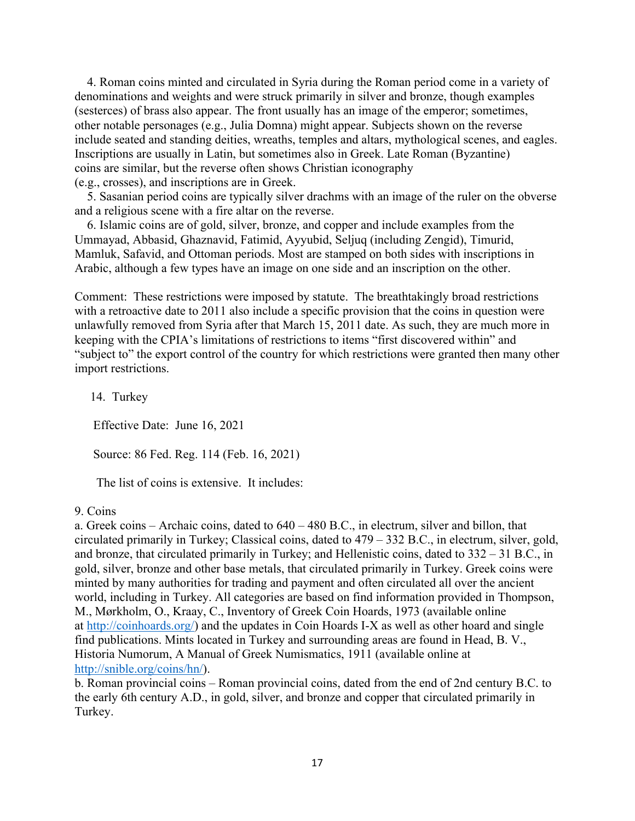4. Roman coins minted and circulated in Syria during the Roman period come in a variety of denominations and weights and were struck primarily in silver and bronze, though examples (sesterces) of brass also appear. The front usually has an image of the emperor; sometimes, other notable personages (e.g., Julia Domna) might appear. Subjects shown on the reverse include seated and standing deities, wreaths, temples and altars, mythological scenes, and eagles. Inscriptions are usually in Latin, but sometimes also in Greek. Late Roman (Byzantine) coins are similar, but the reverse often shows Christian iconography (e.g., crosses), and inscriptions are in Greek.

 5. Sasanian period coins are typically silver drachms with an image of the ruler on the obverse and a religious scene with a fire altar on the reverse.

 6. Islamic coins are of gold, silver, bronze, and copper and include examples from the Ummayad, Abbasid, Ghaznavid, Fatimid, Ayyubid, Seljuq (including Zengid), Timurid, Mamluk, Safavid, and Ottoman periods. Most are stamped on both sides with inscriptions in Arabic, although a few types have an image on one side and an inscription on the other.

Comment: These restrictions were imposed by statute. The breathtakingly broad restrictions with a retroactive date to 2011 also include a specific provision that the coins in question were unlawfully removed from Syria after that March 15, 2011 date. As such, they are much more in keeping with the CPIA's limitations of restrictions to items "first discovered within" and "subject to" the export control of the country for which restrictions were granted then many other import restrictions.

14. Turkey

Effective Date: June 16, 2021

Source: 86 Fed. Reg. 114 (Feb. 16, 2021)

The list of coins is extensive. It includes:

#### 9. Coins

a. Greek coins – Archaic coins, dated to 640 – 480 B.C., in electrum, silver and billon, that circulated primarily in Turkey; Classical coins, dated to 479 – 332 B.C., in electrum, silver, gold, and bronze, that circulated primarily in Turkey; and Hellenistic coins, dated to 332 – 31 B.C., in gold, silver, bronze and other base metals, that circulated primarily in Turkey. Greek coins were minted by many authorities for trading and payment and often circulated all over the ancient world, including in Turkey. All categories are based on find information provided in Thompson, M., Mørkholm, O., Kraay, C., Inventory of Greek Coin Hoards, 1973 (available online at [http://coinhoards.org/\)](http://coinhoards.org/) and the updates in Coin Hoards I-X as well as other hoard and single find publications. Mints located in Turkey and surrounding areas are found in Head, B. V., Historia Numorum, A Manual of Greek Numismatics, 1911 (available online at [http://snible.org/coins/hn/\)](http://snible.org/coins/hn/).

b. Roman provincial coins – Roman provincial coins, dated from the end of 2nd century B.C. to the early 6th century A.D., in gold, silver, and bronze and copper that circulated primarily in Turkey.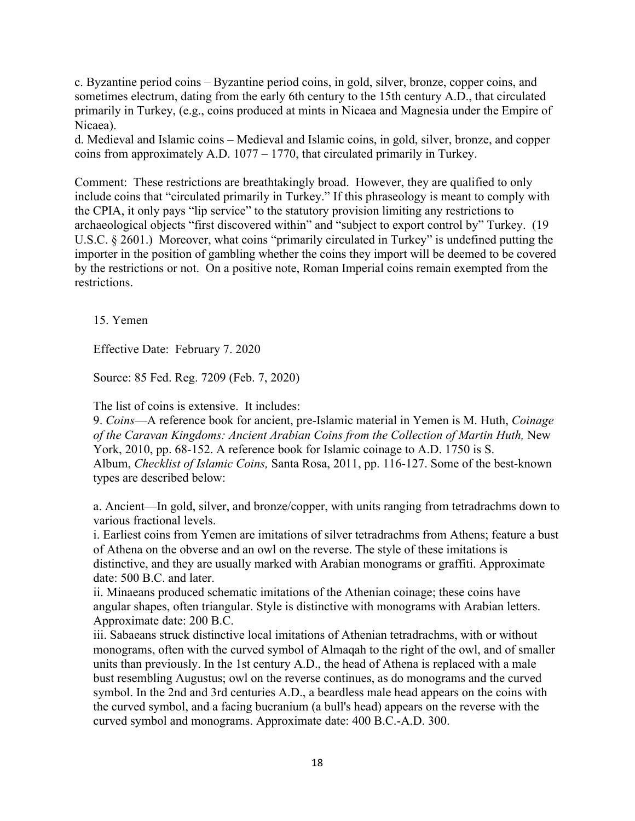c. Byzantine period coins – Byzantine period coins, in gold, silver, bronze, copper coins, and sometimes electrum, dating from the early 6th century to the 15th century A.D., that circulated primarily in Turkey, (e.g., coins produced at mints in Nicaea and Magnesia under the Empire of Nicaea).

d. Medieval and Islamic coins – Medieval and Islamic coins, in gold, silver, bronze, and copper coins from approximately A.D. 1077 – 1770, that circulated primarily in Turkey.

Comment: These restrictions are breathtakingly broad. However, they are qualified to only include coins that "circulated primarily in Turkey." If this phraseology is meant to comply with the CPIA, it only pays "lip service" to the statutory provision limiting any restrictions to archaeological objects "first discovered within" and "subject to export control by" Turkey. (19 U.S.C. § 2601.) Moreover, what coins "primarily circulated in Turkey" is undefined putting the importer in the position of gambling whether the coins they import will be deemed to be covered by the restrictions or not. On a positive note, Roman Imperial coins remain exempted from the restrictions.

15. Yemen

Effective Date: February 7. 2020

Source: 85 Fed. Reg. 7209 (Feb. 7, 2020)

The list of coins is extensive. It includes:

9. *Coins*—A reference book for ancient, pre-Islamic material in Yemen is M. Huth, *Coinage of the Caravan Kingdoms: Ancient Arabian Coins from the Collection of Martin Huth,* New York, 2010, pp. 68-152. A reference book for Islamic coinage to A.D. 1750 is S. Album, *Checklist of Islamic Coins,* Santa Rosa, 2011, pp. 116-127. Some of the best-known types are described below:

a. Ancient—In gold, silver, and bronze/copper, with units ranging from tetradrachms down to various fractional levels.

i. Earliest coins from Yemen are imitations of silver tetradrachms from Athens; feature a bust of Athena on the obverse and an owl on the reverse. The style of these imitations is distinctive, and they are usually marked with Arabian monograms or graffiti. Approximate date: 500 B.C. and later.

ii. Minaeans produced schematic imitations of the Athenian coinage; these coins have angular shapes, often triangular. Style is distinctive with monograms with Arabian letters. Approximate date: 200 B.C.

iii. Sabaeans struck distinctive local imitations of Athenian tetradrachms, with or without monograms, often with the curved symbol of Almaqah to the right of the owl, and of smaller units than previously. In the 1st century A.D., the head of Athena is replaced with a male bust resembling Augustus; owl on the reverse continues, as do monograms and the curved symbol. In the 2nd and 3rd centuries A.D., a beardless male head appears on the coins with the curved symbol, and a facing bucranium (a bull's head) appears on the reverse with the curved symbol and monograms. Approximate date: 400 B.C.-A.D. 300.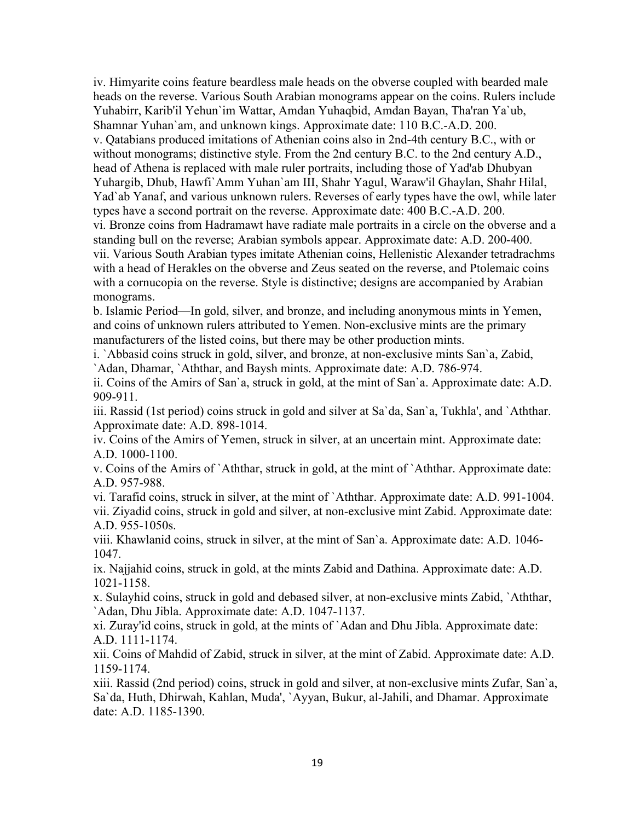iv. Himyarite coins feature beardless male heads on the obverse coupled with bearded male heads on the reverse. Various South Arabian monograms appear on the coins. Rulers include Yuhabirr, Karib'il Yehun`im Wattar, Amdan Yuhaqbid, Amdan Bayan, Tha'ran Ya`ub, Shamnar Yuhan`am, and unknown kings. Approximate date: 110 B.C.-A.D. 200. v. Qatabians produced imitations of Athenian coins also in 2nd-4th century B.C., with or without monograms; distinctive style. From the 2nd century B.C. to the 2nd century A.D., head of Athena is replaced with male ruler portraits, including those of Yad'ab Dhubyan Yuhargib, Dhub, Hawfi`Amm Yuhan`am III, Shahr Yagul, Waraw'il Ghaylan, Shahr Hilal, Yad`ab Yanaf, and various unknown rulers. Reverses of early types have the owl, while later types have a second portrait on the reverse. Approximate date: 400 B.C.-A.D. 200. vi. Bronze coins from Hadramawt have radiate male portraits in a circle on the obverse and a standing bull on the reverse; Arabian symbols appear. Approximate date: A.D. 200-400. vii. Various South Arabian types imitate Athenian coins, Hellenistic Alexander tetradrachms with a head of Herakles on the obverse and Zeus seated on the reverse, and Ptolemaic coins with a cornucopia on the reverse. Style is distinctive; designs are accompanied by Arabian monograms.

b. Islamic Period—In gold, silver, and bronze, and including anonymous mints in Yemen, and coins of unknown rulers attributed to Yemen. Non-exclusive mints are the primary manufacturers of the listed coins, but there may be other production mints.

i. `Abbasid coins struck in gold, silver, and bronze, at non-exclusive mints San`a, Zabid, `Adan, Dhamar, `Aththar, and Baysh mints. Approximate date: A.D. 786-974.

ii. Coins of the Amirs of San`a, struck in gold, at the mint of San`a. Approximate date: A.D. 909-911.

iii. Rassid (1st period) coins struck in gold and silver at Sa`da, San`a, Tukhla', and `Aththar. Approximate date: A.D. 898-1014.

iv. Coins of the Amirs of Yemen, struck in silver, at an uncertain mint. Approximate date: A.D. 1000-1100.

v. Coins of the Amirs of `Aththar, struck in gold, at the mint of `Aththar. Approximate date: A.D. 957-988.

vi. Tarafid coins, struck in silver, at the mint of `Aththar. Approximate date: A.D. 991-1004. vii. Ziyadid coins, struck in gold and silver, at non-exclusive mint Zabid. Approximate date: A.D. 955-1050s.

viii. Khawlanid coins, struck in silver, at the mint of San`a. Approximate date: A.D. 1046- 1047.

ix. Najjahid coins, struck in gold, at the mints Zabid and Dathina. Approximate date: A.D. 1021-1158.

x. Sulayhid coins, struck in gold and debased silver, at non-exclusive mints Zabid, `Aththar, `Adan, Dhu Jibla. Approximate date: A.D. 1047-1137.

xi. Zuray'id coins, struck in gold, at the mints of `Adan and Dhu Jibla. Approximate date: A.D. 1111-1174.

xii. Coins of Mahdid of Zabid, struck in silver, at the mint of Zabid. Approximate date: A.D. 1159-1174.

xiii. Rassid (2nd period) coins, struck in gold and silver, at non-exclusive mints Zufar, San`a, Sa`da, Huth, Dhirwah, Kahlan, Muda', `Ayyan, Bukur, al-Jahili, and Dhamar. Approximate date: A.D. 1185-1390.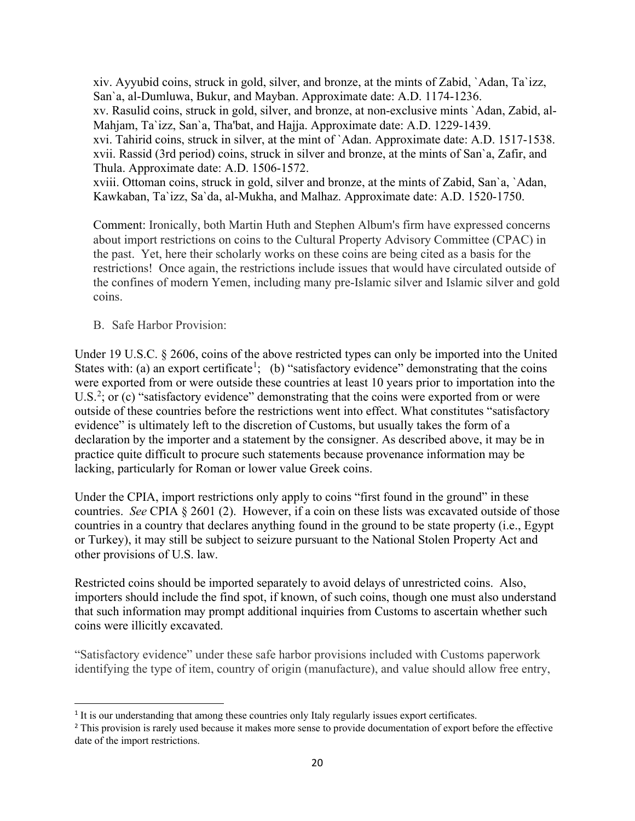xiv. Ayyubid coins, struck in gold, silver, and bronze, at the mints of Zabid, `Adan, Ta`izz, San`a, al-Dumluwa, Bukur, and Mayban. Approximate date: A.D. 1174-1236. xv. Rasulid coins, struck in gold, silver, and bronze, at non-exclusive mints `Adan, Zabid, al-Mahjam, Ta`izz, San`a, Tha'bat, and Hajja. Approximate date: A.D. 1229-1439. xvi. Tahirid coins, struck in silver, at the mint of `Adan. Approximate date: A.D. 1517-1538. xvii. Rassid (3rd period) coins, struck in silver and bronze, at the mints of San`a, Zafir, and Thula. Approximate date: A.D. 1506-1572. xviii. Ottoman coins, struck in gold, silver and bronze, at the mints of Zabid, San`a, `Adan,

Kawkaban, Ta`izz, Sa`da, al-Mukha, and Malhaz. Approximate date: A.D. 1520-1750.

Comment: Ironically, both Martin Huth and Stephen Album's firm have expressed concerns about import restrictions on coins to the Cultural Property Advisory Committee (CPAC) in the past. Yet, here their scholarly works on these coins are being cited as a basis for the restrictions! Once again, the restrictions include issues that would have circulated outside of the confines of modern Yemen, including many pre-Islamic silver and Islamic silver and gold coins.

B. Safe Harbor Provision:

Under 19 U.S.C. § 2606, coins of the above restricted types can only be imported into the United States with: (a) an export certificate<sup>[1](#page-19-0)</sup>; (b) "satisfactory evidence" demonstrating that the coins were exported from or were outside these countries at least 10 years prior to importation into the U.S.<sup>[2](#page-19-1)</sup>; or (c) "satisfactory evidence" demonstrating that the coins were exported from or were outside of these countries before the restrictions went into effect. What constitutes "satisfactory evidence" is ultimately left to the discretion of Customs, but usually takes the form of a declaration by the importer and a statement by the consigner. As described above, it may be in practice quite difficult to procure such statements because provenance information may be lacking, particularly for Roman or lower value Greek coins.

Under the CPIA, import restrictions only apply to coins "first found in the ground" in these countries. *See* CPIA § 2601 (2). However, if a coin on these lists was excavated outside of those countries in a country that declares anything found in the ground to be state property (i.e., Egypt or Turkey), it may still be subject to seizure pursuant to the National Stolen Property Act and other provisions of U.S. law.

Restricted coins should be imported separately to avoid delays of unrestricted coins. Also, importers should include the find spot, if known, of such coins, though one must also understand that such information may prompt additional inquiries from Customs to ascertain whether such coins were illicitly excavated.

"Satisfactory evidence" under these safe harbor provisions included with Customs paperwork identifying the type of item, country of origin (manufacture), and value should allow free entry,

<span id="page-19-0"></span><sup>&</sup>lt;sup>1</sup> It is our understanding that among these countries only Italy regularly issues export certificates.

<span id="page-19-1"></span><sup>&</sup>lt;sup>2</sup> This provision is rarely used because it makes more sense to provide documentation of export before the effective date of the import restrictions.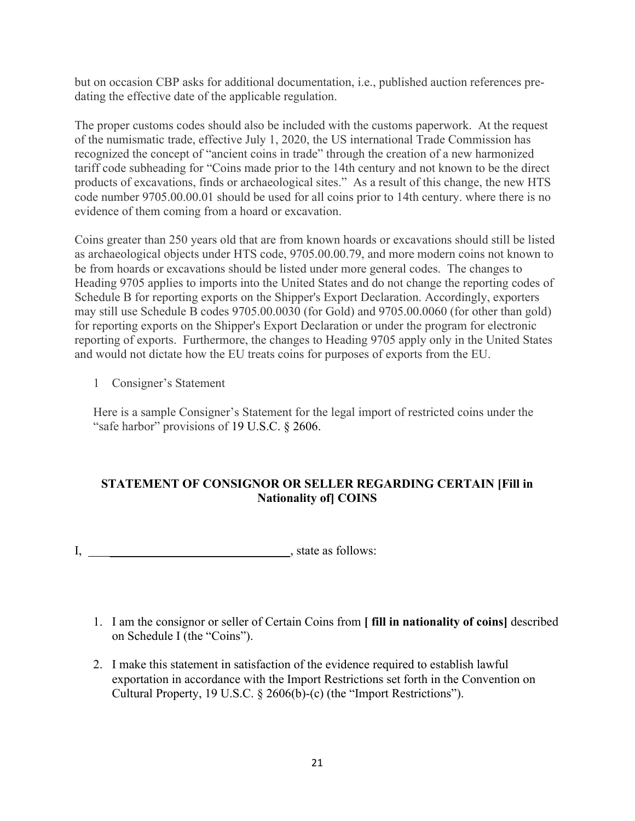but on occasion CBP asks for additional documentation, i.e., published auction references predating the effective date of the applicable regulation.

The proper customs codes should also be included with the customs paperwork. At the request of the numismatic trade, effective July 1, 2020, the US international Trade Commission has recognized the concept of "ancient coins in trade" through the creation of a new harmonized tariff code subheading for "Coins made prior to the 14th century and not known to be the direct products of excavations, finds or archaeological sites." As a result of this change, the new HTS code number 9705.00.00.01 should be used for all coins prior to 14th century. where there is no evidence of them coming from a hoard or excavation.

Coins greater than 250 years old that are from known hoards or excavations should still be listed as archaeological objects under HTS code, 9705.00.00.79, and more modern coins not known to be from hoards or excavations should be listed under more general codes. The changes to Heading 9705 applies to imports into the United States and do not change the reporting codes of Schedule B for reporting exports on the Shipper's Export Declaration. Accordingly, exporters may still use Schedule B codes 9705.00.0030 (for Gold) and 9705.00.0060 (for other than gold) for reporting exports on the Shipper's Export Declaration or under the program for electronic reporting of exports. Furthermore, the changes to Heading 9705 apply only in the United States and would not dictate how the EU treats coins for purposes of exports from the EU.

1 Consigner's Statement

Here is a sample Consigner's Statement for the legal import of restricted coins under the "safe harbor" provisions of 19 U.S.C. § 2606.

# **STATEMENT OF CONSIGNOR OR SELLER REGARDING CERTAIN [Fill in Nationality of] COINS**

- I, state as follows:
	- 1. I am the consignor or seller of Certain Coins from **[ fill in nationality of coins]** described on Schedule I (the "Coins").
	- 2. I make this statement in satisfaction of the evidence required to establish lawful exportation in accordance with the Import Restrictions set forth in the Convention on Cultural Property, 19 U.S.C. § 2606(b)-(c) (the "Import Restrictions").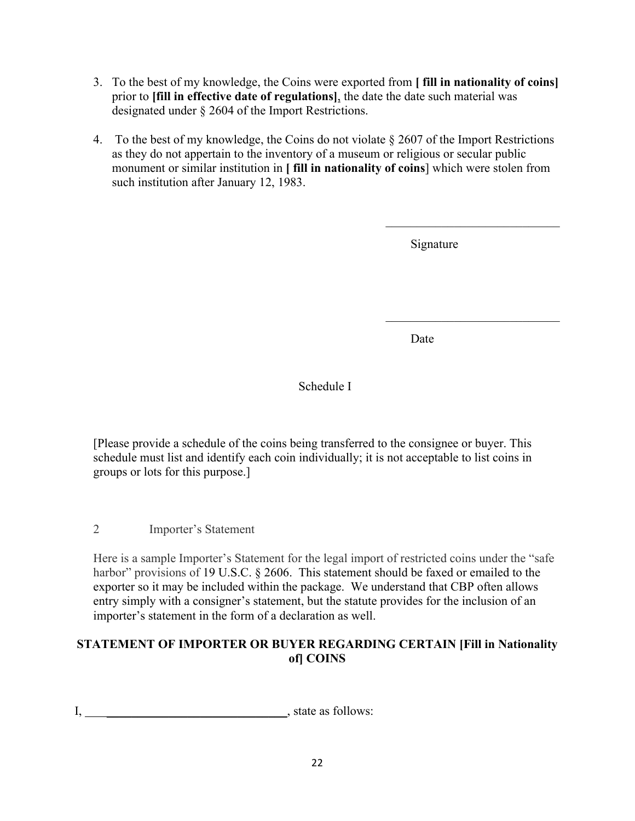- 3. To the best of my knowledge, the Coins were exported from **[ fill in nationality of coins]** prior to **[fill in effective date of regulations]**, the date the date such material was designated under § 2604 of the Import Restrictions.
- 4. To the best of my knowledge, the Coins do not violate  $\S 2607$  of the Import Restrictions as they do not appertain to the inventory of a museum or religious or secular public monument or similar institution in **[ fill in nationality of coins**] which were stolen from such institution after January 12, 1983.

Signature

Date

# Schedule I

[Please provide a schedule of the coins being transferred to the consignee or buyer. This schedule must list and identify each coin individually; it is not acceptable to list coins in groups or lots for this purpose.]

2 Importer's Statement

Here is a sample Importer's Statement for the legal import of restricted coins under the "safe harbor" provisions of 19 U.S.C. § 2606. This statement should be faxed or emailed to the exporter so it may be included within the package. We understand that CBP often allows entry simply with a consigner's statement, but the statute provides for the inclusion of an importer's statement in the form of a declaration as well.

# **STATEMENT OF IMPORTER OR BUYER REGARDING CERTAIN [Fill in Nationality of] COINS**

I, \_\_\_\_\_\_\_\_\_\_\_\_\_\_\_\_\_\_\_\_\_\_\_\_\_\_\_\_\_, state as follows: